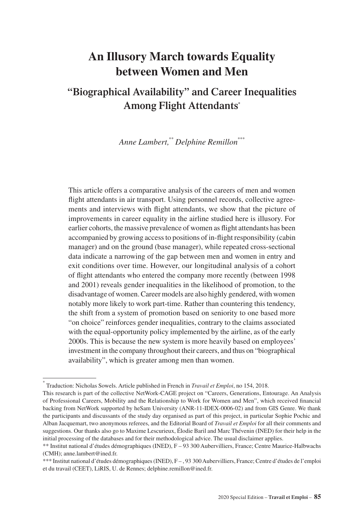# **An Illusory March towards Equality between Women and Men**

## **"Biographical Availability" and Career Inequalities Among Flight Attendants\***

*Anne Lambert,\*\* Delphine Remillon\*\*\**

This article offers a comparative analysis of the careers of men and women flight attendants in air transport. Using personnel records, collective agreements and interviews with flight attendants, we show that the picture of improvements in career equality in the airline studied here is illusory. For earlier cohorts, the massive prevalence of women as flight attendants has been accompanied by growing access to positions of in-flight responsibility (cabin manager) and on the ground (base manager), while repeated cross-sectional data indicate a narrowing of the gap between men and women in entry and exit conditions over time. However, our longitudinal analysis of a cohort of flight attendants who entered the company more recently (between 1998 and 2001) reveals gender inequalities in the likelihood of promotion, to the disadvantage of women. Career models are also highly gendered, with women notably more likely to work part-time. Rather than countering this tendency, the shift from a system of promotion based on seniority to one based more "on choice" reinforces gender inequalities, contrary to the claims associated with the equal-opportunity policy implemented by the airline, as of the early 2000s. This is because the new system is more heavily based on employees' investment in the company throughout their careers, and thus on "biographical availability", which is greater among men than women.

<sup>\*</sup> Traduction: Nicholas Sowels. Article published in French in *Travail et Emploi*, no 154, 2018.

This research is part of the collective NetWork-CAGE project on "Careers, Generations, Entourage. An Analysis of Professional Careers, Mobility and the Relationship to Work for Women and Men", which received financial backing from NetWork supported by heSam University (ANR-11-IDEX-0006-02) and from GIS Genre. We thank the participants and discussants of the study day organised as part of this project, in particular Sophie Pochic and Alban Jacquemart, two anonymous referees, and the Editorial Board of *Travail et Emploi* for all their comments and suggestions. Our thanks also go to Maxime Lescurieux, Élodie Baril and Marc Thévenin (INED) for their help in the initial processing of the databases and for their methodological advice. The usual disclaimer applies.

<sup>\*\*</sup> Institut national d'études démographiques (INED), F – 93 300 Aubervilliers, France; Centre Maurice-Halbwachs (CMH); [anne.lambert@ined.fr.](mailto:anne.lambert@ined.fr)

<sup>\*\*\*</sup> Institut national d'études démographiques (INED), F – , 93 300 Aubervilliers, France; Centre d'études de l'emploi et du travail (CEET), LiRIS, U. de Rennes; [delphine.remillon@ined.fr.](mailto:delphine.remillon@ined.fr)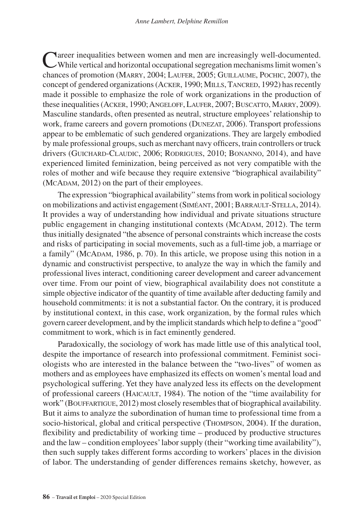Career inequalities between women and men are increasingly well-documented. While vertical and horizontal occupational segregation mechanisms limit women's chances of promotion (Marry, 2004; Laufer, 2005; Guillaume, Pochic, 2007), the concept of gendered organizations (ACKER, 1990; MILLS, TANCRED, 1992) has recently made it possible to emphasize the role of work organizations in the production of these inequalities (Acker, 1990; Angeloff, Laufer, 2007; Buscatto, Marry, 2009). Masculine standards, often presented as neutral, structure employees' relationship to work, frame careers and govern promotions (DUNEZAT, 2006). Transport professions appear to be emblematic of such gendered organizations. They are largely embodied by male professional groups, such as merchant navy officers, train controllers or truck drivers (GUICHARD-CLAUDIC, 2006; RODRIGUES, 2010; BONANNO, 2014), and have experienced limited feminization, being perceived as not very compatible with the roles of mother and wife because they require extensive "biographical availability" (MCADAM, 2012) on the part of their employees.

The expression "biographical availability" stems from work in political sociology on mobilizations and activist engagement (Siméant, 2001; Barrault-Stella, 2014). It provides a way of understanding how individual and private situations structure public engagement in changing institutional contexts (McADAM, 2012). The term thus initially designated "the absence of personal constraints which increase the costs and risks of participating in social movements, such as a full-time job, a marriage or a family" (McAdam, 1986, p. 70). In this article, we propose using this notion in a dynamic and constructivist perspective, to analyze the way in which the family and professional lives interact, conditioning career development and career advancement over time. From our point of view, biographical availability does not constitute a simple objective indicator of the quantity of time available after deducting family and household commitments: it is not a substantial factor. On the contrary, it is produced by institutional context, in this case, work organization, by the formal rules which govern career development, and by the implicit standards which help to define a "good" commitment to work, which is in fact eminently gendered.

Paradoxically, the sociology of work has made little use of this analytical tool, despite the importance of research into professional commitment. Feminist sociologists who are interested in the balance between the "two-lives" of women as mothers and as employees have emphasized its effects on women's mental load and psychological suffering. Yet they have analyzed less its effects on the development of professional careers (Haicault, 1984). The notion of the "time availability for work" (BOUFFARTIGUE, 2012) most closely resembles that of biographical availability. But it aims to analyze the subordination of human time to professional time from a socio-historical, global and critical perspective (Thompson, 2004). If the duration, flexibility and predictability of working time – produced by productive structures and the law – condition employees' labor supply (their "working time availability"), then such supply takes different forms according to workers' places in the division of labor. The understanding of gender differences remains sketchy, however, as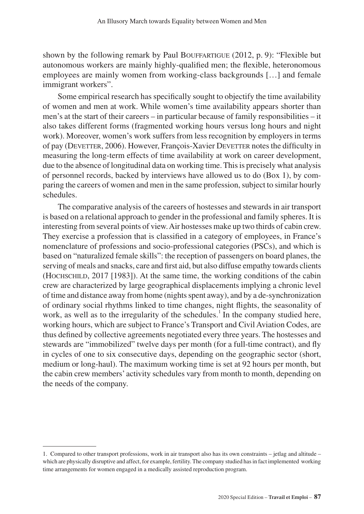shown by the following remark by Paul Bouffartigue (2012, p. 9): "Flexible but autonomous workers are mainly highly-qualified men; the flexible, heteronomous employees are mainly women from working-class backgrounds […] and female immigrant workers".

Some empirical research has specifically sought to objectify the time availability of women and men at work. While women's time availability appears shorter than men's at the start of their careers – in particular because of family responsibilities – it also takes different forms (fragmented working hours versus long hours and night work). Moreover, women's work suffers from less recognition by employers in terms of pay (DEVETTER, 2006). However, François-Xavier DEVETTER notes the difficulty in measuring the long-term effects of time availability at work on career development, due to the absence of longitudinal data on working time. This is precisely what analysis of personnel records, backed by interviews have allowed us to do (Box 1), by comparing the careers of women and men in the same profession, subject to similar hourly schedules.

The comparative analysis of the careers of hostesses and stewards in air transport is based on a relational approach to gender in the professional and family spheres. It is interesting from several points of view. Air hostesses make up two thirds of cabin crew. They exercise a profession that is classified in a category of employees, in France's nomenclature of professions and socio-professional categories (PSCs), and which is based on "naturalized female skills": the reception of passengers on board planes, the serving of meals and snacks, care and first aid, but also diffuse empathy towards clients (Hochschild, 2017 [1983]). At the same time, the working conditions of the cabin crew are characterized by large geographical displacements implying a chronic level of time and distance away from home (nights spent away), and by a de-synchronization of ordinary social rhythms linked to time changes, night flights, the seasonality of work, as well as to the irregularity of the schedules.<sup>1</sup> In the company studied here, working hours, which are subject to France's Transport and Civil Aviation Codes, are thus defined by collective agreements negotiated every three years. The hostesses and stewards are "immobilized" twelve days per month (for a full-time contract), and fly in cycles of one to six consecutive days, depending on the geographic sector (short, medium or long-haul). The maximum working time is set at 92 hours per month, but the cabin crew members' activity schedules vary from month to month, depending on the needs of the company.

<sup>1.</sup> Compared to other transport professions, work in air transport also has its own constraints – jetlag and altitude – which are physically disruptive and affect, for example, fertility. The company studied has in fact implemented working time arrangements for women engaged in a medically assisted reproduction program.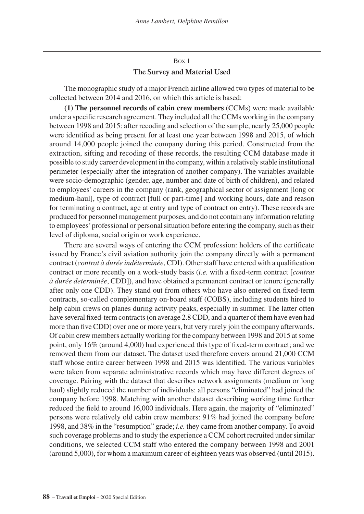## Box 1 **The Survey and Material Used**

The monographic study of a major French airline allowed two types of material to be collected between 2014 and 2016, on which this article is based:

**(1) The personnel records of cabin crew members** (CCMs) were made available under a specific research agreement. They included all the CCMs working in the company between 1998 and 2015: after recoding and selection of the sample, nearly 25,000 people were identified as being present for at least one year between 1998 and 2015, of which around 14,000 people joined the company during this period. Constructed from the extraction, sifting and recoding of these records, the resulting CCM database made it possible to study career development in the company, within a relatively stable institutional perimeter (especially after the integration of another company). The variables available were socio-demographic (gender, age, number and date of birth of children), and related to employees' careers in the company (rank, geographical sector of assignment [long or medium-haul], type of contract [full or part-time] and working hours, date and reason for terminating a contract, age at entry and type of contract on entry). These records are produced for personnel management purposes, and do not contain any information relating to employees' professional or personal situation before entering the company, such as their level of diploma, social origin or work experience.

There are several ways of entering the CCM profession: holders of the certificate issued by France's civil aviation authority join the company directly with a permanent contract (*contrat à durée indéterminée*, CDI). Other staff have entered with a qualification contract or more recently on a work-study basis (*i.e.* with a fixed-term contract [*contrat à durée determinée*, CDD]), and have obtained a permanent contract or tenure (generally after only one CDD). They stand out from others who have also entered on fixed-term contracts, so-called complementary on-board staff (COBS), including students hired to help cabin crews on planes during activity peaks, especially in summer. The latter often have several fixed-term contracts (on average 2.8 CDD, and a quarter of them have even had more than five CDD) over one or more years, but very rarely join the company afterwards. Of cabin crew members actually working for the company between 1998 and 2015 at some point, only 16% (around 4,000) had experienced this type of fixed-term contract; and we removed them from our dataset. The dataset used therefore covers around 21,000 CCM staff whose entire career between 1998 and 2015 was identified. The various variables were taken from separate administrative records which may have different degrees of coverage. Pairing with the dataset that describes network assignments (medium or long haul) slightly reduced the number of individuals: all persons "eliminated" had joined the company before 1998. Matching with another dataset describing working time further reduced the field to around 16,000 individuals. Here again, the majority of "eliminated" persons were relatively old cabin crew members: 91% had joined the company before 1998, and 38% in the "resumption" grade; *i.e.* they came from another company. To avoid such coverage problems and to study the experience a CCM cohort recruited under similar conditions, we selected CCM staff who entered the company between 1998 and 2001 (around 5,000), for whom a maximum career of eighteen years was observed (until 2015).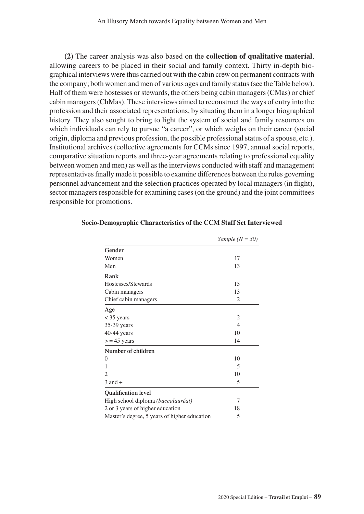**(2)** The career analysis was also based on the **collection of qualitative material**, allowing careers to be placed in their social and family context. Thirty in-depth biographical interviews were thus carried out with the cabin crew on permanent contracts with the company; both women and men of various ages and family status (see the Table below). Half of them were hostesses or stewards, the others being cabin managers (CMas) or chief cabin managers (ChMas). These interviews aimed to reconstruct the ways of entry into the profession and their associated representations, by situating them in a longer biographical history. They also sought to bring to light the system of social and family resources on which individuals can rely to pursue "a career", or which weighs on their career (social origin, diploma and previous profession, the possible professional status of a spouse, etc.). Institutional archives (collective agreements for CCMs since 1997, annual social reports, comparative situation reports and three-year agreements relating to professional equality between women and men) as well as the interviews conducted with staff and management representatives finally made it possible to examine differences between the rules governing personnel advancement and the selection practices operated by local managers (in flight), sector managers responsible for examining cases (on the ground) and the joint committees responsible for promotions.

|                                              | Sample $(N = 30)$ |
|----------------------------------------------|-------------------|
| Gender                                       |                   |
| Women                                        | 17                |
| Men                                          | 13                |
| Rank                                         |                   |
| Hostesses/Stewards                           | 15                |
| Cabin managers                               | 13                |
| Chief cabin managers                         | $\overline{2}$    |
| Age                                          |                   |
| $<$ 35 years                                 | 2                 |
| 35-39 years                                  | $\overline{4}$    |
| $40-44$ years                                | 10                |
| $>$ = 45 years                               | 14                |
| Number of children                           |                   |
| $\Omega$                                     | 10                |
| 1                                            | 5                 |
| $\overline{c}$                               | 10                |
| $3$ and $+$                                  | 5                 |
| <b>Qualification level</b>                   |                   |
| High school diploma (baccalauréat)           | 7                 |
| 2 or 3 years of higher education             | 18                |
| Master's degree, 5 years of higher education | 5                 |

#### **Socio-Demographic Characteristics of the CCM Staff Set Interviewed**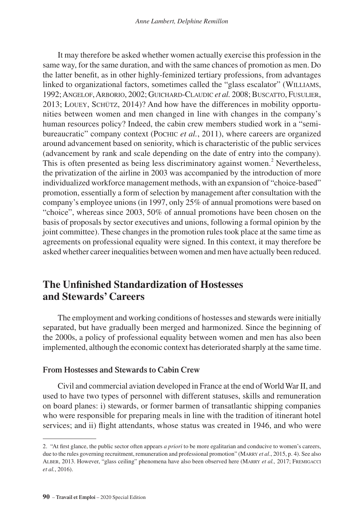It may therefore be asked whether women actually exercise this profession in the same way, for the same duration, and with the same chances of promotion as men. Do the latter benefit, as in other highly-feminized tertiary professions, from advantages linked to organizational factors, sometimes called the "glass escalator" (WILLIAMS, 1992; Angelof, Arborio, 2002; Guichard-Claudic *et al.* 2008; Buscatto, Fusulier, 2013; Louey, Schütz, 2014)? And how have the differences in mobility opportunities between women and men changed in line with changes in the company's human resources policy? Indeed, the cabin crew members studied work in a "semibureaucratic" company context (Pochic *et al.*, 2011), where careers are organized around advancement based on seniority, which is characteristic of the public services (advancement by rank and scale depending on the date of entry into the company). This is often presented as being less discriminatory against women.<sup>2</sup> Nevertheless, the privatization of the airline in 2003 was accompanied by the introduction of more individualized workforce management methods, with an expansion of "choice-based" promotion, essentially a form of selection by management after consultation with the company's employee unions (in 1997, only 25% of annual promotions were based on "choice", whereas since 2003, 50% of annual promotions have been chosen on the basis of proposals by sector executives and unions, following a formal opinion by the joint committee). These changes in the promotion rules took place at the same time as agreements on professional equality were signed. In this context, it may therefore be asked whether career inequalities between women and men have actually been reduced.

## **The Unfinished Standardization of Hostesses and Stewards' Careers**

The employment and working conditions of hostesses and stewards were initially separated, but have gradually been merged and harmonized. Since the beginning of the 2000s, a policy of professional equality between women and men has also been implemented, although the economic context has deteriorated sharply at the same time.

## **From Hostesses and Stewards to Cabin Crew**

Civil and commercial aviation developed in France at the end of World War II, and used to have two types of personnel with different statuses, skills and remuneration on board planes: i) stewards, or former barmen of transatlantic shipping companies who were responsible for preparing meals in line with the tradition of itinerant hotel services; and ii) flight attendants, whose status was created in 1946, and who were

<sup>2.</sup> "At first glance, the public sector often appears *a priori* to be more egalitarian and conducive to women's careers, due to the rules governing recruitment, remuneration and professional promotion" (Marry *et al*., 2015, p. 4). See also Alber, 2013. However, "glass ceiling" phenomena have also been observed here (Marry *et al.,* 2017; Fremigacci *et al.*, 2016).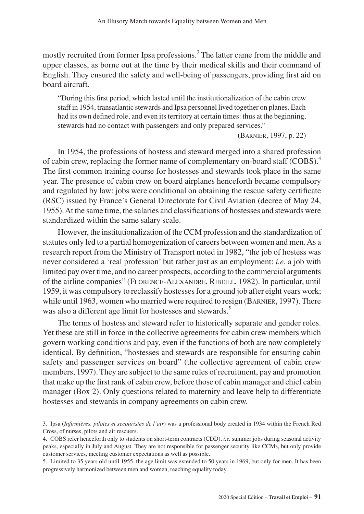mostly recruited from former Ipsa professions.<sup>3</sup> The latter came from the middle and upper classes, as borne out at the time by their medical skills and their command of English. They ensured the safety and well-being of passengers, providing first aid on board aircraft.

"During this first period, which lasted until the institutionalization of the cabin crew staff in 1954, transatlantic stewards and Ipsa personnel lived together on planes. Each had its own defined role, and even its territory at certain times: thus at the beginning, stewards had no contact with passengers and only prepared services."

(Barnier, 1997, p. 22)

In 1954, the professions of hostess and steward merged into a shared profession of cabin crew, replacing the former name of complementary on-board staff (COBS).<sup>4</sup> The first common training course for hostesses and stewards took place in the same year. The presence of cabin crew on board airplanes henceforth became compulsory and regulated by law: jobs were conditional on obtaining the rescue safety certificate (RSC) issued by France's General Directorate for Civil Aviation (decree of May 24, 1955). At the same time, the salaries and classifications of hostesses and stewards were standardized within the same salary scale.

However, the institutionalization of the CCM profession and the standardization of statutes only led to a partial homogenization of careers between women and men. As a research report from the Ministry of Transport noted in 1982, "the job of hostess was never considered a 'real profession' but rather just as an employment: *i.e.* a job with limited pay over time, and no career prospects, according to the commercial arguments of the airline companies" (Florence-Alexandre, Ribeill, 1982). In particular, until 1959, it was compulsory to reclassify hostesses for a ground job after eight years work; while until 1963, women who married were required to resign (BARNIER, 1997). There was also a different age limit for hostesses and stewards.<sup>5</sup>

The terms of hostess and steward refer to historically separate and gender roles. Yet these are still in force in the collective agreements for cabin crew members which govern working conditions and pay, even if the functions of both are now completely identical. By definition, "hostesses and stewards are responsible for ensuring cabin safety and passenger services on board" (the collective agreement of cabin crew members, 1997). They are subject to the same rules of recruitment, pay and promotion that make up the first rank of cabin crew, before those of cabin manager and chief cabin manager (Box 2). Only questions related to maternity and leave help to differentiate hostesses and stewards in company agreements on cabin crew.

<sup>3.</sup> Ipsa (*Infirmières, pilotes et secouristes de l'air*) was a professional body created in 1934 within the French Red Cross, of nurses, pilots and air rescuers.

<sup>4.</sup> COBS refer henceforth only to students on short-term contracts (CDD), *i.e.* summer jobs during seasonal activity peaks, especially in July and August. They are not responsible for passenger security like CCMs, but only provide customer services, meeting customer expectations as well as possible.

<sup>5.</sup> Limited to 35 years old until 1955, the age limit was extended to 50 years in 1969, but only for men. It has been progressively harmonized between men and women, reaching equality today.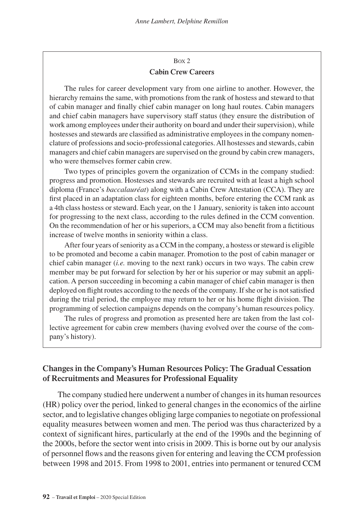## Box 2 **Cabin Crew Careers**

The rules for career development vary from one airline to another. However, the hierarchy remains the same, with promotions from the rank of hostess and steward to that of cabin manager and finally chief cabin manager on long haul routes. Cabin managers and chief cabin managers have supervisory staff status (they ensure the distribution of work among employees under their authority on board and under their supervision), while hostesses and stewards are classified as administrative employees in the company nomenclature of professions and socio-professional categories. All hostesses and stewards, cabin managers and chief cabin managers are supervised on the ground by cabin crew managers, who were themselves former cabin crew.

Two types of principles govern the organization of CCMs in the company studied: progress and promotion. Hostesses and stewards are recruited with at least a high school diploma (France's *baccalauréat*) along with a Cabin Crew Attestation (CCA). They are first placed in an adaptation class for eighteen months, before entering the CCM rank as a 4th class hostess or steward. Each year, on the 1 January, seniority is taken into account for progressing to the next class, according to the rules defined in the CCM convention. On the recommendation of her or his superiors, a CCM may also benefit from a fictitious increase of twelve months in seniority within a class.

After four years of seniority as a CCM in the company, a hostess or steward is eligible to be promoted and become a cabin manager. Promotion to the post of cabin manager or chief cabin manager (*i.e.* moving to the next rank) occurs in two ways. The cabin crew member may be put forward for selection by her or his superior or may submit an application. A person succeeding in becoming a cabin manager of chief cabin manager is then deployed on flight routes according to the needs of the company. If she or he is not satisfied during the trial period, the employee may return to her or his home flight division. The programming of selection campaigns depends on the company's human resources policy.

The rules of progress and promotion as presented here are taken from the last collective agreement for cabin crew members (having evolved over the course of the company's history).

## **Changes in the Company's Human Resources Policy: The Gradual Cessation of Recruitments and Measures for Professional Equality**

The company studied here underwent a number of changes in its human resources (HR) policy over the period, linked to general changes in the economics of the airline sector, and to legislative changes obliging large companies to negotiate on professional equality measures between women and men. The period was thus characterized by a context of significant hires, particularly at the end of the 1990s and the beginning of the 2000s, before the sector went into crisis in 2009. This is borne out by our analysis of personnel flows and the reasons given for entering and leaving the CCM profession between 1998 and 2015. From 1998 to 2001, entries into permanent or tenured CCM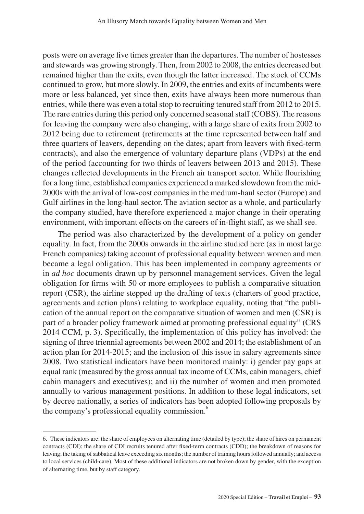posts were on average five times greater than the departures. The number of hostesses and stewards was growing strongly. Then, from 2002 to 2008, the entries decreased but remained higher than the exits, even though the latter increased. The stock of CCMs continued to grow, but more slowly. In 2009, the entries and exits of incumbents were more or less balanced, yet since then, exits have always been more numerous than entries, while there was even a total stop to recruiting tenured staff from 2012 to 2015. The rare entries during this period only concerned seasonal staff (COBS). The reasons for leaving the company were also changing, with a large share of exits from 2002 to 2012 being due to retirement (retirements at the time represented between half and three quarters of leavers, depending on the dates; apart from leavers with fixed-term contracts), and also the emergence of voluntary departure plans (VDPs) at the end of the period (accounting for two thirds of leavers between 2013 and 2015). These changes reflected developments in the French air transport sector. While flourishing for a long time, established companies experienced a marked slowdown from the mid-2000s with the arrival of low-cost companies in the medium-haul sector (Europe) and Gulf airlines in the long-haul sector. The aviation sector as a whole, and particularly the company studied, have therefore experienced a major change in their operating environment, with important effects on the careers of in-flight staff, as we shall see.

The period was also characterized by the development of a policy on gender equality. In fact, from the 2000s onwards in the airline studied here (as in most large French companies) taking account of professional equality between women and men became a legal obligation. This has been implemented in company agreements or in *ad hoc* documents drawn up by personnel management services. Given the legal obligation for firms with 50 or more employees to publish a comparative situation report (CSR), the airline stepped up the drafting of texts (charters of good practice, agreements and action plans) relating to workplace equality, noting that "the publication of the annual report on the comparative situation of women and men (CSR) is part of a broader policy framework aimed at promoting professional equality" (CRS 2014 CCM, p. 3). Specifically, the implementation of this policy has involved: the signing of three triennial agreements between 2002 and 2014; the establishment of an action plan for 2014-2015; and the inclusion of this issue in salary agreements since 2008. Two statistical indicators have been monitored mainly: i) gender pay gaps at equal rank (measured by the gross annual tax income of CCMs, cabin managers, chief cabin managers and executives); and ii) the number of women and men promoted annually to various management positions. In addition to these legal indicators, set by decree nationally, a series of indicators has been adopted following proposals by the company's professional equality commission.<sup>6</sup>

<sup>6.</sup> These indicators are: the share of employees on alternating time (detailed by type); the share of hires on permanent contracts (CDI); the share of CDI recruits tenured after fixed-term contracts (CDD); the breakdown of reasons for leaving; the taking of sabbatical leave exceeding six months; the number of training hours followed annually; and access to local services (child-care). Most of these additional indicators are not broken down by gender, with the exception of alternating time, but by staff category.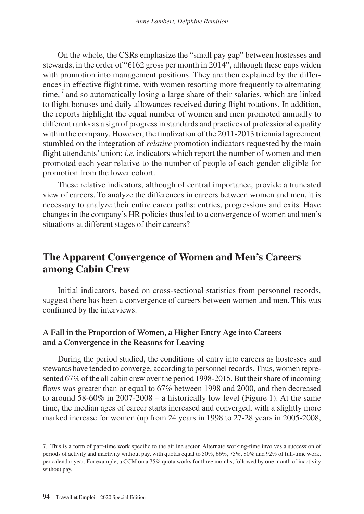On the whole, the CSRs emphasize the "small pay gap" between hostesses and stewards, in the order of "€162 gross per month in 2014", although these gaps widen with promotion into management positions. They are then explained by the differences in effective flight time, with women resorting more frequently to alternating  $time<sub>1</sub>$ <sup>7</sup> and so automatically losing a large share of their salaries, which are linked to flight bonuses and daily allowances received during flight rotations. In addition, the reports highlight the equal number of women and men promoted annually to different ranks as a sign of progress in standards and practices of professional equality within the company. However, the finalization of the 2011-2013 triennial agreement stumbled on the integration of *relative* promotion indicators requested by the main flight attendants' union: *i.e.* indicators which report the number of women and men promoted each year relative to the number of people of each gender eligible for promotion from the lower cohort.

These relative indicators, although of central importance, provide a truncated view of careers. To analyze the differences in careers between women and men, it is necessary to analyze their entire career paths: entries, progressions and exits. Have changes in the company's HR policies thus led to a convergence of women and men's situations at different stages of their careers?

## **The Apparent Convergence of Women and Men's Careers among Cabin Crew**

Initial indicators, based on cross-sectional statistics from personnel records, suggest there has been a convergence of careers between women and men. This was confirmed by the interviews.

## **A Fall in the Proportion of Women, a Higher Entry Age into Careers and a Convergence in the Reasons for Leaving**

During the period studied, the conditions of entry into careers as hostesses and stewards have tended to converge, according to personnel records. Thus, women represented 67% of the all cabin crew over the period 1998-2015. But their share of incoming flows was greater than or equal to 67% between 1998 and 2000, and then decreased to around  $58-60\%$  in  $2007-2008 - a$  historically low level (Figure 1). At the same time, the median ages of career starts increased and converged, with a slightly more marked increase for women (up from 24 years in 1998 to 27-28 years in 2005-2008,

<sup>7.</sup> This is a form of part-time work specific to the airline sector. Alternate working-time involves a succession of periods of activity and inactivity without pay, with quotas equal to 50%, 66%, 75%, 80% and 92% of full-time work, per calendar year. For example, a CCM on a 75% quota works for three months, followed by one month of inactivity without pay.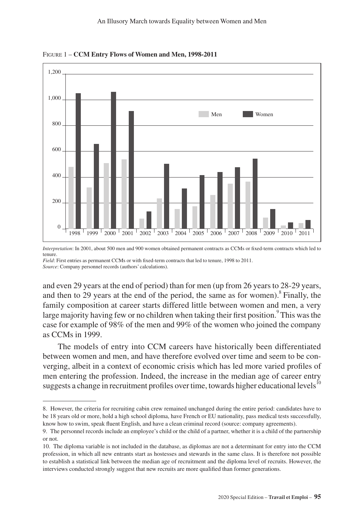



*Interpretation*: In 2001, about 500 men and 900 women obtained permanent contracts as CCMs or fixed-term contracts which led to tenure.

*Field*: First entries as permanent CCMs or with fixed-term contracts that led to tenure, 1998 to 2011. *Source*: Company personnel records (authors' calculations).

and even 29 years at the end of period) than for men (up from 26 years to 28-29 years, and then to 29 years at the end of the period, the same as for women).<sup>8</sup> Finally, the family composition at career starts differed little between women and men, a very large majority having few or no children when taking their first position.<sup>9</sup> This was the case for example of 98% of the men and 99% of the women who joined the company as CCMs in 1999.

The models of entry into CCM careers have historically been differentiated between women and men, and have therefore evolved over time and seem to be converging, albeit in a context of economic crisis which has led more varied profiles of men entering the profession. Indeed, the increase in the median age of career entry suggests a change in recruitment profiles over time, towards higher educational levels $^{10}$ 

<sup>8.</sup> However, the criteria for recruiting cabin crew remained unchanged during the entire period: candidates have to be 18 years old or more, hold a high school diploma, have French or EU nationality, pass medical tests successfully, know how to swim, speak fluent English, and have a clean criminal record (source: company agreements).

<sup>9.</sup> The personnel records include an employee's child or the child of a partner, whether it is a child of the partnership or not.

<sup>10.</sup> The diploma variable is not included in the database, as diplomas are not a determinant for entry into the CCM profession, in which all new entrants start as hostesses and stewards in the same class. It is therefore not possible to establish a statistical link between the median age of recruitment and the diploma level of recruits. However, the interviews conducted strongly suggest that new recruits are more qualified than former generations.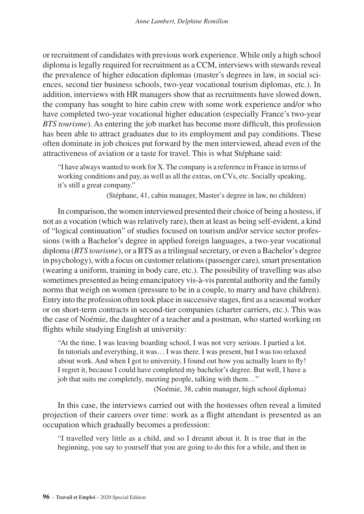or recruitment of candidates with previous work experience. While only a high school diploma is legally required for recruitment as a CCM, interviews with stewards reveal the prevalence of higher education diplomas (master's degrees in law, in social sciences, second tier business schools, two-year vocational tourism diplomas, etc.). In addition, interviews with HR managers show that as recruitments have slowed down, the company has sought to hire cabin crew with some work experience and/or who have completed two-year vocational higher education (especially France's two-year *BTS tourisme*). As entering the job market has become more difficult, this profession has been able to attract graduates due to its employment and pay conditions. These often dominate in job choices put forward by the men interviewed, ahead even of the attractiveness of aviation or a taste for travel. This is what Stéphane said:

"I have always wanted to work for X. The company is a reference in France in terms of working conditions and pay, as well as all the extras, on CVs, etc. Socially speaking, it's still a great company."

(Stéphane, 41, cabin manager, Master's degree in law, no children)

In comparison, the women interviewed presented their choice of being a hostess, if not as a vocation (which was relatively rare), then at least as being self-evident, a kind of "logical continuation" of studies focused on tourism and/or service sector professions (with a Bachelor's degree in applied foreign languages, a two-year vocational diploma (*BTS tourisme*), or a BTS as a trilingual secretary, or even a Bachelor's degree in psychology), with a focus on customer relations (passenger care), smart presentation (wearing a uniform, training in body care, etc.). The possibility of travelling was also sometimes presented as being emancipatory vis-à-vis parental authority and the family norms that weigh on women (pressure to be in a couple, to marry and have children). Entry into the profession often took place in successive stages, first as a seasonal worker or on short-term contracts in second-tier companies (charter carriers, etc.). This was the case of Noémie, the daughter of a teacher and a postman, who started working on flights while studying English at university:

"At the time, I was leaving boarding school, I was not very serious. I partied a lot. In tutorials and everything, it was… I was there. I was present, but I was too relaxed about work. And when I got to university, I found out how you actually learn to fly! I regret it, because I could have completed my bachelor's degree. But well, I have a job that suits me completely, meeting people, talking with them…"

(Noémie, 38, cabin manager, high school diploma)

In this case, the interviews carried out with the hostesses often reveal a limited projection of their careers over time: work as a flight attendant is presented as an occupation which gradually becomes a profession:

"I travelled very little as a child, and so I dreamt about it. It is true that in the beginning, you say to yourself that you are going to do this for a while, and then in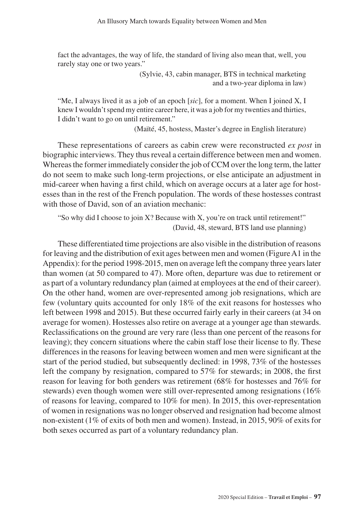fact the advantages, the way of life, the standard of living also mean that, well, you rarely stay one or two years."

> (Sylvie, 43, cabin manager, BTS in technical marketing and a two-year diploma in law)

"Me, I always lived it as a job of an epoch [*sic*], for a moment. When I joined X, I knew I wouldn't spend my entire career here, it was a job for my twenties and thirties, I didn't want to go on until retirement."

(Maïté, 45, hostess, Master's degree in English literature)

These representations of careers as cabin crew were reconstructed *ex post* in biographic interviews. They thus reveal a certain difference between men and women. Whereas the former immediately consider the job of CCM over the long term, the latter do not seem to make such long-term projections, or else anticipate an adjustment in mid-career when having a first child, which on average occurs at a later age for hostesses than in the rest of the French population. The words of these hostesses contrast with those of David, son of an aviation mechanic:

"So why did I choose to join X? Because with X, you're on track until retirement!" (David, 48, steward, BTS land use planning)

These differentiated time projections are also visible in the distribution of reasons for leaving and the distribution of exit ages between men and women (Figure A1 in the Appendix): for the period 1998-2015, men on average left the company three years later than women (at 50 compared to 47). More often, departure was due to retirement or as part of a voluntary redundancy plan (aimed at employees at the end of their career). On the other hand, women are over-represented among job resignations, which are few (voluntary quits accounted for only 18% of the exit reasons for hostesses who left between 1998 and 2015). But these occurred fairly early in their careers (at 34 on average for women). Hostesses also retire on average at a younger age than stewards. Reclassifications on the ground are very rare (less than one percent of the reasons for leaving); they concern situations where the cabin staff lose their license to fly. These differences in the reasons for leaving between women and men were significant at the start of the period studied, but subsequently declined: in 1998, 73% of the hostesses left the company by resignation, compared to 57% for stewards; in 2008, the first reason for leaving for both genders was retirement (68% for hostesses and 76% for stewards) even though women were still over-represented among resignations (16% of reasons for leaving, compared to 10% for men). In 2015, this over-representation of women in resignations was no longer observed and resignation had become almost non-existent (1% of exits of both men and women). Instead, in 2015, 90% of exits for both sexes occurred as part of a voluntary redundancy plan.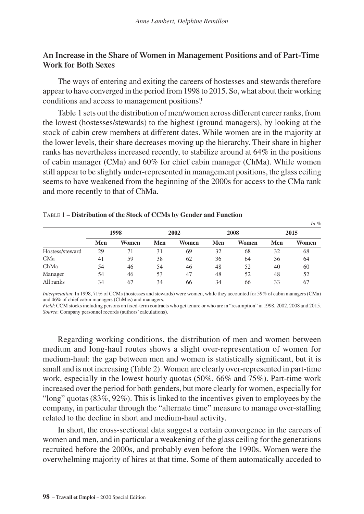## **An Increase in the Share of Women in Management Positions and of Part-Time Work for Both Sexes**

The ways of entering and exiting the careers of hostesses and stewards therefore appear to have converged in the period from 1998 to 2015. So, what about their working conditions and access to management positions?

Table 1 sets out the distribution of men/women across different career ranks, from the lowest (hostesses/stewards) to the highest (ground managers), by looking at the stock of cabin crew members at different dates. While women are in the majority at the lower levels, their share decreases moving up the hierarchy. Their share in higher ranks has nevertheless increased recently, to stabilize around at 64% in the positions of cabin manager (CMa) and 60% for chief cabin manager (ChMa). While women still appear to be slightly under-represented in management positions, the glass ceiling seems to have weakened from the beginning of the 2000s for access to the CMa rank and more recently to that of ChMa.

|                 |     |                      |     |       |     |       |     | $\frac{1}{2}$ |
|-----------------|-----|----------------------|-----|-------|-----|-------|-----|---------------|
|                 |     | 1998<br>2002<br>2008 |     | 2015  |     |       |     |               |
|                 | Men | Women                | Men | Women | Men | Women | Men | Women         |
| Hostess/steward | 29  | 71                   | 31  | 69    | 32  | 68    | 32  | 68            |
| CMa             | 41  | 59                   | 38  | 62    | 36  | 64    | 36  | 64            |
| ChMa            | 54  | 46                   | 54  | 46    | 48  | 52    | 40  | 60            |
| Manager         | 54  | 46                   | 53  | 47    | 48  | 52    | 48  | 52            |
| All ranks       | 34  | 67                   | 34  | 66    | 34  | 66    | 33  | 67            |

*In %*

#### Table 1 – **Distribution of the Stock of CCMs by Gender and Function**

*Interpretation*: In 1998, 71% of CCMs (hostesses and stewards) were women, while they accounted for 59% of cabin managers (CMa) and 46% of chief cabin managers (ChMas) and managers.

*Field*: CCM stocks including persons on fixed-term contracts who get tenure or who are in "resumption" in 1998, 2002, 2008 and 2015. *Source*: Company personnel records (authors' calculations).

Regarding working conditions, the distribution of men and women between medium and long-haul routes shows a slight over-representation of women for medium-haul: the gap between men and women is statistically significant, but it is small and is not increasing (Table 2). Women are clearly over-represented in part-time work, especially in the lowest hourly quotas (50%, 66% and 75%). Part-time work increased over the period for both genders, but more clearly for women, especially for "long" quotas  $(83\%, 92\%)$ . This is linked to the incentives given to employees by the company, in particular through the "alternate time" measure to manage over-staffing related to the decline in short and medium-haul activity.

In short, the cross-sectional data suggest a certain convergence in the careers of women and men, and in particular a weakening of the glass ceiling for the generations recruited before the 2000s, and probably even before the 1990s. Women were the overwhelming majority of hires at that time. Some of them automatically acceded to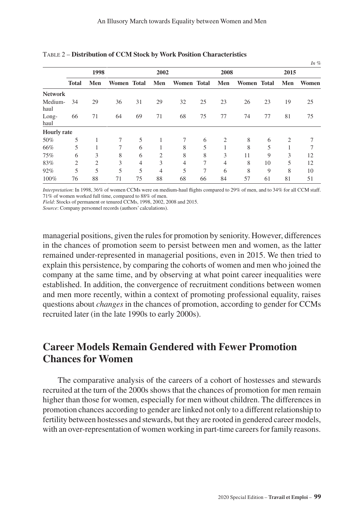|                 |              |                |             |                |                |             |    |                |                    |    |                | In $%$ |
|-----------------|--------------|----------------|-------------|----------------|----------------|-------------|----|----------------|--------------------|----|----------------|--------|
|                 |              | 1998           |             |                | 2002           |             |    | 2008           |                    |    | 2015           |        |
|                 | <b>Total</b> | Men            | Women Total |                | Men            | Women Total |    | Men            | <b>Women</b> Total |    | Men            | Women  |
| <b>Network</b>  |              |                |             |                |                |             |    |                |                    |    |                |        |
| Medium-<br>haul | 34           | 29             | 36          | 31             | 29             | 32          | 25 | 23             | 26                 | 23 | 19             | 25     |
| Long-<br>haul   | 66           | 71             | 64          | 69             | 71             | 68          | 75 | 77             | 74                 | 77 | 81             | 75     |
| Hourly rate     |              |                |             |                |                |             |    |                |                    |    |                |        |
| 50%             | 5            |                | 7           | 5              | 1              | $\tau$      | 6  | $\overline{2}$ | 8                  | 6  | $\overline{2}$ |        |
| 66%             | 5            |                | 7           | 6              |                | 8           | 5  |                | 8                  | 5  |                |        |
| 75%             | 6            | 3              | 8           | 6              | $\overline{c}$ | 8           | 8  | 3              | 11                 | 9  | 3              | 12     |
| 83%             | 2            | $\overline{2}$ | 3           | $\overline{4}$ | 3              | 4           | 7  | 4              | 8                  | 10 | 5              | 12     |
| 92%             | 5            | 5              | 5           | 5              | 4              | 5           | 7  | 6              | 8                  | 9  | 8              | 10     |
| 100%            | 76           | 88             | 71          | 75             | 88             | 68          | 66 | 84             | 57                 | 61 | 81             | 51     |

Table 2 – **Distribution of CCM Stock by Work Position Characteristics**

*Interpretation*: In 1998, 36% of women CCMs were on medium-haul flights compared to 29% of men, and to 34% for all CCM staff. 71% of women worked full time, compared to 88% of men.

*Field*: Stocks of permanent or tenured CCMs, 1998, 2002, 2008 and 2015.

*Source*: Company personnel records (authors' calculations).

managerial positions, given the rules for promotion by seniority. However, differences in the chances of promotion seem to persist between men and women, as the latter remained under-represented in managerial positions, even in 2015. We then tried to explain this persistence, by comparing the cohorts of women and men who joined the company at the same time, and by observing at what point career inequalities were established. In addition, the convergence of recruitment conditions between women and men more recently, within a context of promoting professional equality, raises questions about *changes* in the chances of promotion, according to gender for CCMs recruited later (in the late 1990s to early 2000s).

## **Career Models Remain Gendered with Fewer Promotion Chances for Women**

The comparative analysis of the careers of a cohort of hostesses and stewards recruited at the turn of the 2000s shows that the chances of promotion for men remain higher than those for women, especially for men without children. The differences in promotion chances according to gender are linked not only to a different relationship to fertility between hostesses and stewards, but they are rooted in gendered career models, with an over-representation of women working in part-time careers for family reasons.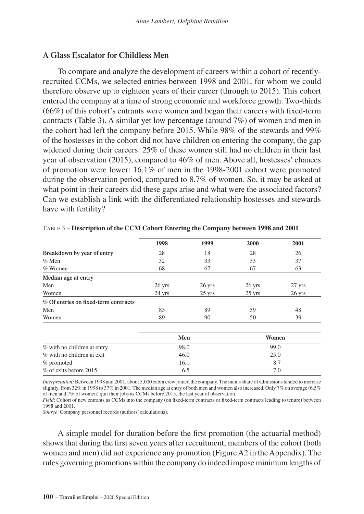### **A Glass Escalator for Childless Men**

To compare and analyze the development of careers within a cohort of recentlyrecruited CCMs, we selected entries between 1998 and 2001, for whom we could therefore observe up to eighteen years of their career (through to 2015). This cohort entered the company at a time of strong economic and workforce growth. Two-thirds (66%) of this cohort's entrants were women and began their careers with fixed-term contracts (Table 3). A similar yet low percentage (around 7%) of women and men in the cohort had left the company before 2015. While 98% of the stewards and 99% of the hostesses in the cohort did not have children on entering the company, the gap widened during their careers: 25% of these women still had no children in their last year of observation (2015), compared to 46% of men. Above all, hostesses' chances of promotion were lower: 16.1% of men in the 1998-2001 cohort were promoted during the observation period, compared to 8.7% of women. So, it may be asked at what point in their careers did these gaps arise and what were the associated factors? Can we establish a link with the differentiated relationship hostesses and stewards have with fertility?

|                                      | 1998   | 1999             | 2000             | 2001     |
|--------------------------------------|--------|------------------|------------------|----------|
| Breakdown by year of entry           | 28     | 18               | 28               | 26       |
| $\%$ Men                             | 32     | 33               | 33               | 37       |
| $%$ Women                            | 68     | 67               | 67               | 63       |
| Median age at entry                  |        |                  |                  |          |
| Men                                  | 26 yrs | $26$ yrs         | $26$ yrs         | 27 yrs   |
| Women                                | 24 yrs | $25 \text{ yrs}$ | $25 \text{ yrs}$ | $26$ yrs |
| % Of entries on fixed-term contracts |        |                  |                  |          |
| Men                                  | 83     | 89               | 59               | 48       |
| Women                                | 89     | 90               | 50               | 39       |
|                                      |        | Men              |                  | Women    |
| % with no children at entry          |        | 98.0             |                  | 99.0     |

Table 3 – **Description of the CCM Cohort Entering the Company between 1998 and 2001**

*Interpretation:* Between 1998 and 2001, about 5,000 cabin crew joined the company. The men's share of admissions tended to increase slightly, from 32% in 1998 to 37% in 2001. The median age at entry of both men and women also increased. Only 7% on average (6.5% of men and 7% of women) quit their jobs as CCMs before 2015, the last year of observation.

% with no children at exit  $46.0$  25.0  $%$  promoted  $16.1$  8.7 % of exits before 2015 6.5 6.5 7.0

*Field*: Cohort of new entrants as CCMs into the company (on fixed-term contracts or fixed-term contracts leading to tenure) between 1998 and 2001.

*Source*: Company personnel records (authors' calculations).

A simple model for duration before the first promotion (the actuarial method) shows that during the first seven years after recruitment, members of the cohort (both women and men) did not experience any promotion (Figure A2 in the Appendix). The rules governing promotions within the company do indeed impose minimum lengths of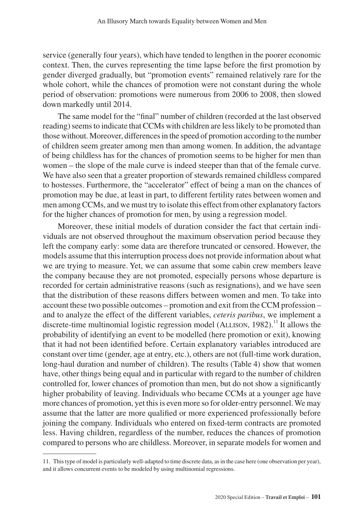service (generally four years), which have tended to lengthen in the poorer economic context. Then, the curves representing the time lapse before the first promotion by gender diverged gradually, but "promotion events" remained relatively rare for the whole cohort, while the chances of promotion were not constant during the whole period of observation: promotions were numerous from 2006 to 2008, then slowed down markedly until 2014.

The same model for the "final" number of children (recorded at the last observed reading) seems to indicate that CCMs with children are less likely to be promoted than those without. Moreover, differences in the speed of promotion according to the number of children seem greater among men than among women. In addition, the advantage of being childless has for the chances of promotion seems to be higher for men than women – the slope of the male curve is indeed steeper than that of the female curve. We have also seen that a greater proportion of stewards remained childless compared to hostesses. Furthermore, the "accelerator" effect of being a man on the chances of promotion may be due, at least in part, to different fertility rates between women and men among CCMs, and we must try to isolate this effect from other explanatory factors for the higher chances of promotion for men, by using a regression model.

Moreover, these initial models of duration consider the fact that certain individuals are not observed throughout the maximum observation period because they left the company early: some data are therefore truncated or censored. However, the models assume that this interruption process does not provide information about what we are trying to measure. Yet, we can assume that some cabin crew members leave the company because they are not promoted, especially persons whose departure is recorded for certain administrative reasons (such as resignations), and we have seen that the distribution of these reasons differs between women and men. To take into account these two possible outcomes – promotion and exit from the CCM profession – and to analyze the effect of the different variables, *ceteris paribus*, we implement a discrete-time multinomial logistic regression model (ALLISON, 1982).<sup>11</sup> It allows the probability of identifying an event to be modelled (here promotion or exit), knowing that it had not been identified before. Certain explanatory variables introduced are constant over time (gender, age at entry, etc.), others are not (full-time work duration, long-haul duration and number of children). The results (Table 4) show that women have, other things being equal and in particular with regard to the number of children controlled for, lower chances of promotion than men, but do not show a significantly higher probability of leaving. Individuals who became CCMs at a younger age have more chances of promotion, yet this is even more so for older-entry personnel. We may assume that the latter are more qualified or more experienced professionally before joining the company. Individuals who entered on fixed-term contracts are promoted less. Having children, regardless of the number, reduces the chances of promotion compared to persons who are childless. Moreover, in separate models for women and

<sup>11.</sup> This type of model is particularly well-adapted to time discrete data, as in the case here (one observation per year), and it allows concurrent events to be modeled by using multinomial regressions.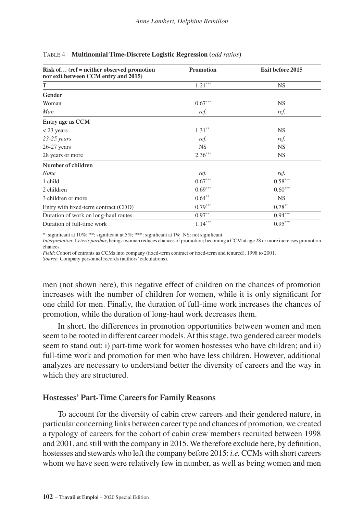| $Risk of$ (ref = neither observed promotion<br>nor exit between CCM entry and 2015) | <b>Promotion</b> | Exit before 2015 |
|-------------------------------------------------------------------------------------|------------------|------------------|
| T                                                                                   | $1.21***$        | <b>NS</b>        |
| Gender                                                                              |                  |                  |
| Woman                                                                               | $0.67***$        | <b>NS</b>        |
| Man                                                                                 | ref.             | ref.             |
| Entry age as CCM                                                                    |                  |                  |
| $<$ 23 years                                                                        | $1.31**$         | <b>NS</b>        |
| $23-25$ years                                                                       | ref.             | ref.             |
| $26-27$ years                                                                       | <b>NS</b>        | <b>NS</b>        |
| 28 years or more                                                                    | $2.36***$        | <b>NS</b>        |
| Number of children                                                                  |                  |                  |
| None                                                                                | ref.             | ref.             |
| 1 child                                                                             | $0.67***$        | $0.58***$        |
| 2 children                                                                          | $0.69***$        | $0.60***$        |
| 3 children or more                                                                  | $0.64***$        | <b>NS</b>        |
| Entry with fixed-term contract (CDD)                                                | $0.79***$        | $0.78***$        |
| Duration of work on long-haul routes                                                | $0.97**$         | $0.94***$        |
| Duration of full-time work                                                          | $1.14***$        | $0.95***$        |

#### Table 4 – **Multinomial Time-Discrete Logistic Regression (***odd ratios***)**

\*: significant at 10%; \*\*: significant at 5%; \*\*\*: significant at 1%. NS: not significant.

*Interpretation*: *Ceteris paribus*, being a woman reduces chances of promotion; becoming a CCM at age 28 or more increases promotion chances.

*Field*: Cohort of entrants as CCMs into company (fixed-term contract or fixed-term and tenured), 1998 to 2001.

*Source*: Company personnel records (authors' calculations).

men (not shown here), this negative effect of children on the chances of promotion increases with the number of children for women, while it is only significant for one child for men. Finally, the duration of full-time work increases the chances of promotion, while the duration of long-haul work decreases them.

In short, the differences in promotion opportunities between women and men seem to be rooted in different career models. At this stage, two gendered career models seem to stand out: i) part-time work for women hostesses who have children; and ii) full-time work and promotion for men who have less children. However, additional analyzes are necessary to understand better the diversity of careers and the way in which they are structured.

## **Hostesses' Part-Time Careers for Family Reasons**

To account for the diversity of cabin crew careers and their gendered nature, in particular concerning links between career type and chances of promotion, we created a typology of careers for the cohort of cabin crew members recruited between 1998 and 2001, and still with the company in 2015. We therefore exclude here, by definition, hostesses and stewards who left the company before 2015: *i.e.* CCMs with short careers whom we have seen were relatively few in number, as well as being women and men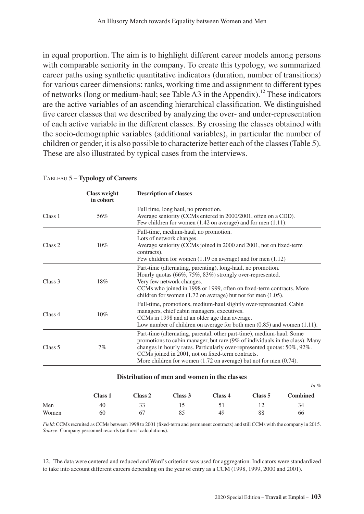in equal proportion. The aim is to highlight different career models among persons with comparable seniority in the company. To create this typology, we summarized career paths using synthetic quantitative indicators (duration, number of transitions) for various career dimensions: ranks, working time and assignment to different types of networks (long or medium-haul; see Table A3 in the Appendix).<sup>12</sup> These indicators are the active variables of an ascending hierarchical classification. We distinguished five career classes that we described by analyzing the over- and under-representation of each active variable in the different classes. By crossing the classes obtained with the socio-demographic variables (additional variables), in particular the number of children or gender, it is also possible to characterize better each of the classes (Table 5). These are also illustrated by typical cases from the interviews.

|                    | <b>Class weight</b><br>in cohort | <b>Description of classes</b>                                                                                                                                                                                                                                                                                                                                            |
|--------------------|----------------------------------|--------------------------------------------------------------------------------------------------------------------------------------------------------------------------------------------------------------------------------------------------------------------------------------------------------------------------------------------------------------------------|
| Class <sub>1</sub> | 56%                              | Full time, long haul, no promotion.<br>Average seniority (CCMs entered in 2000/2001, often on a CDD).<br>Few children for women $(1.42 \text{ on average})$ and for men $(1.11)$ .                                                                                                                                                                                       |
| Class <sub>2</sub> | 10%                              | Full-time, medium-haul, no promotion.<br>Lots of network changes.<br>Average seniority (CCMs joined in 2000 and 2001, not on fixed-term<br>contracts).<br>Few children for women $(1.19)$ on average) and for men $(1.12)$                                                                                                                                               |
| Class 3            | 18%                              | Part-time (alternating, parenting), long-haul, no promotion.<br>Hourly quotas (66%, 75%, 83%) strongly over-represented.<br>Very few network changes.<br>CCMs who joined in 1998 or 1999, often on fixed-term contracts. More<br>children for women $(1.72 \text{ on average})$ but not for men $(1.05)$ .                                                               |
| Class 4            | 10%                              | Full-time, promotions, medium-haul slightly over-represented. Cabin<br>managers, chief cabin managers, executives.<br>CCMs in 1998 and at an older age than average.<br>Low number of children on average for both men $(0.85)$ and women $(1.11)$ .                                                                                                                     |
| Class 5            | 7%                               | Part-time (alternating, parental, other part-time), medium-haul. Some<br>promotions to cabin manager, but rare (9% of individuals in the class). Many<br>changes in hourly rates. Particularly over-represented quotas: 50%, 92%.<br>CCMs joined in 2001, not on fixed-term contracts.<br>More children for women $(1.72 \text{ on average})$ but not for men $(0.74)$ . |

#### Tableau 5 – **Typology of Careers**

#### **Distribution of men and women in the classes**

|       |         |         |         |         |         | $\frac{1}{1}$   |
|-------|---------|---------|---------|---------|---------|-----------------|
|       | Class 1 | Class 2 | Class 3 | Class 4 | Class 5 | <b>Combined</b> |
| Men   | 40      | 33      |         |         |         | 34              |
| Women | 60      | 67      | 85      | 49      | 88      | 66              |

*Field*: CCMs recruited as CCMs between 1998 to 2001 (fixed-term and permanent contracts) and still CCMs with the company in 2015. *Source*: Company personnel records (authors' calculations).

*In %*

<sup>12.</sup> The data were centered and reduced and Ward's criterion was used for aggregation. Indicators were standardized to take into account different careers depending on the year of entry as a CCM (1998, 1999, 2000 and 2001).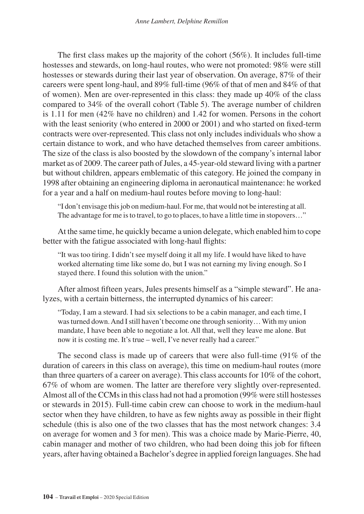The first class makes up the majority of the cohort (56%). It includes full-time hostesses and stewards, on long-haul routes, who were not promoted: 98% were still hostesses or stewards during their last year of observation. On average, 87% of their careers were spent long-haul, and 89% full-time (96% of that of men and 84% of that of women). Men are over-represented in this class: they made up 40% of the class compared to 34% of the overall cohort (Table 5). The average number of children is 1.11 for men (42% have no children) and 1.42 for women. Persons in the cohort with the least seniority (who entered in 2000 or 2001) and who started on fixed-term contracts were over-represented. This class not only includes individuals who show a certain distance to work, and who have detached themselves from career ambitions. The size of the class is also boosted by the slowdown of the company's internal labor market as of 2009. The career path of Jules, a 45-year-old steward living with a partner but without children, appears emblematic of this category. He joined the company in 1998 after obtaining an engineering diploma in aeronautical maintenance: he worked for a year and a half on medium-haul routes before moving to long-haul:

"I don't envisage this job on medium-haul. For me, that would not be interesting at all. The advantage for me is to travel, to go to places, to have a little time in stopovers..."

At the same time, he quickly became a union delegate, which enabled him to cope better with the fatigue associated with long-haul flights:

"It was too tiring. I didn't see myself doing it all my life. I would have liked to have worked alternating time like some do, but I was not earning my living enough. So I stayed there. I found this solution with the union."

After almost fifteen years, Jules presents himself as a "simple steward". He analyzes, with a certain bitterness, the interrupted dynamics of his career:

"Today, I am a steward. I had six selections to be a cabin manager, and each time, I was turned down. And I still haven't become one through seniority… With my union mandate, I have been able to negotiate a lot. All that, well they leave me alone. But now it is costing me. It's true – well, I've never really had a career."

The second class is made up of careers that were also full-time (91% of the duration of careers in this class on average), this time on medium-haul routes (more than three quarters of a career on average). This class accounts for 10% of the cohort, 67% of whom are women. The latter are therefore very slightly over-represented. Almost all of the CCMs in this class had not had a promotion (99% were still hostesses or stewards in 2015). Full-time cabin crew can choose to work in the medium-haul sector when they have children, to have as few nights away as possible in their flight schedule (this is also one of the two classes that has the most network changes: 3.4 on average for women and 3 for men). This was a choice made by Marie-Pierre, 40, cabin manager and mother of two children, who had been doing this job for fifteen years, after having obtained a Bachelor's degree in applied foreign languages. She had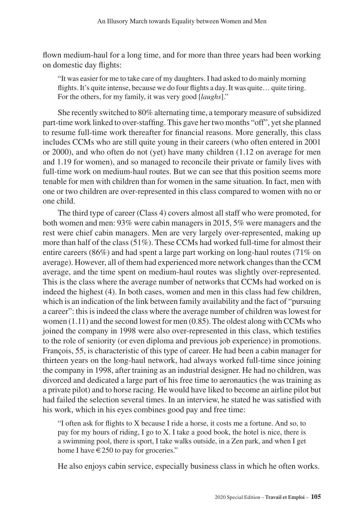flown medium-haul for a long time, and for more than three years had been working on domestic day flights:

"It was easier for me to take care of my daughters. I had asked to do mainly morning flights. It's quite intense, because we do four flights a day. It was quite... quite tiring. For the others, for my family, it was very good [*laughs*]."

She recently switched to 80% alternating time, a temporary measure of subsidized part-time work linked to over-staffing. This gave her two months "off", yet she planned to resume full-time work thereafter for financial reasons. More generally, this class includes CCMs who are still quite young in their careers (who often entered in 2001 or 2000), and who often do not (yet) have many children (1.12 on average for men and 1.19 for women), and so managed to reconcile their private or family lives with full-time work on medium-haul routes. But we can see that this position seems more tenable for men with children than for women in the same situation. In fact, men with one or two children are over-represented in this class compared to women with no or one child.

The third type of career (Class 4) covers almost all staff who were promoted, for both women and men: 93% were cabin managers in 2015, 5% were managers and the rest were chief cabin managers. Men are very largely over-represented, making up more than half of the class  $(51\%)$ . These CCMs had worked full-time for almost their entire careers (86%) and had spent a large part working on long-haul routes (71% on average). However, all of them had experienced more network changes than the CCM average, and the time spent on medium-haul routes was slightly over-represented. This is the class where the average number of networks that CCMs had worked on is indeed the highest (4). In both cases, women and men in this class had few children, which is an indication of the link between family availability and the fact of "pursuing a career": this is indeed the class where the average number of children was lowest for women  $(1.11)$  and the second lowest for men  $(0.85)$ . The oldest along with CCMs who joined the company in 1998 were also over-represented in this class, which testifies to the role of seniority (or even diploma and previous job experience) in promotions. François, 55, is characteristic of this type of career. He had been a cabin manager for thirteen years on the long-haul network, had always worked full-time since joining the company in 1998, after training as an industrial designer. He had no children, was divorced and dedicated a large part of his free time to aeronautics (he was training as a private pilot) and to horse racing. He would have liked to become an airline pilot but had failed the selection several times. In an interview, he stated he was satisfied with his work, which in his eyes combines good pay and free time:

"I often ask for flights to X because I ride a horse, it costs me a fortune. And so, to pay for my hours of riding, I go to X. I take a good book, the hotel is nice, there is a swimming pool, there is sport, I take walks outside, in a Zen park, and when I get home I have  $\in$  250 to pay for groceries."

He also enjoys cabin service, especially business class in which he often works.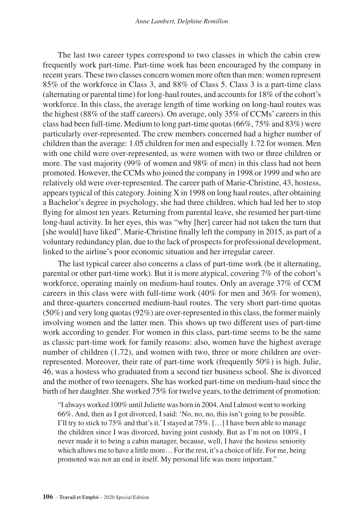The last two career types correspond to two classes in which the cabin crew frequently work part-time. Part-time work has been encouraged by the company in recent years. These two classes concern women more often than men: women represent 85% of the workforce in Class 3, and 88% of Class 5. Class 3 is a part-time class (alternating or parental time) for long-haul routes, and accounts for 18% of the cohort's workforce. In this class, the average length of time working on long-haul routes was the highest (88% of the staff careers). On average, only 35% of CCMs' careers in this class had been full-time. Medium to long part-time quotas (66%, 75% and 83%) were particularly over-represented. The crew members concerned had a higher number of children than the average: 1.05 children for men and especially 1.72 for women. Men with one child were over-represented, as were women with two or three children or more. The vast majority (99% of women and 98% of men) in this class had not been promoted. However, the CCMs who joined the company in 1998 or 1999 and who are relatively old were over-represented. The career path of Marie-Christine, 43, hostess, appears typical of this category. Joining  $X$  in 1998 on long haul routes, after obtaining a Bachelor's degree in psychology, she had three children, which had led her to stop flying for almost ten years. Returning from parental leave, she resumed her part-time long-haul activity. In her eyes, this was "why [her] career had not taken the turn that [she would] have liked". Marie-Christine finally left the company in 2015, as part of a voluntary redundancy plan, due to the lack of prospects for professional development, linked to the airline's poor economic situation and her irregular career.

The last typical career also concerns a class of part-time work (be it alternating, parental or other part-time work). But it is more atypical, covering 7% of the cohort's workforce, operating mainly on medium-haul routes. Only an average 37% of CCM careers in this class were with full-time work (40% for men and 36% for women), and three-quarters concerned medium-haul routes. The very short part-time quotas (50%) and very long quotas (92%) are over-represented in this class, the former mainly involving women and the latter men. This shows up two different uses of part-time work according to gender. For women in this class, part-time seems to be the same as classic part-time work for family reasons: also, women have the highest average number of children (1.72), and women with two, three or more children are overrepresented. Moreover, their rate of part-time work (frequently 50%) is high. Julie, 46, was a hostess who graduated from a second tier business school. She is divorced and the mother of two teenagers. She has worked part-time on medium-haul since the birth of her daughter. She worked 75% for twelve years, to the detriment of promotion:

"I always worked 100% until Juliette was born in 2004. And I almost went to working 66%. And, then as I got divorced, I said: 'No, no, no, this isn't going to be possible. I'll try to stick to 75% and that's it.' I stayed at 75%. […] I have been able to manage the children since I was divorced, having joint custody. But as I'm not on 100%, I never made it to being a cabin manager, because, well, I have the hostess seniority which allows me to have a little more… For the rest, it's a choice of life. For me, being promoted was not an end in itself. My personal life was more important."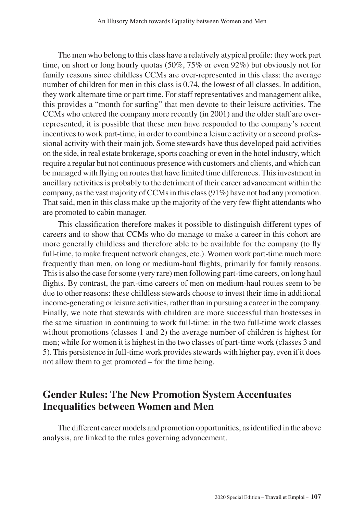The men who belong to this class have a relatively atypical profile: they work part time, on short or long hourly quotas (50%, 75% or even 92%) but obviously not for family reasons since childless CCMs are over-represented in this class: the average number of children for men in this class is 0.74, the lowest of all classes. In addition, they work alternate time or part time. For staff representatives and management alike, this provides a "month for surfing" that men devote to their leisure activities. The CCMs who entered the company more recently (in 2001) and the older staff are overrepresented, it is possible that these men have responded to the company's recent incentives to work part-time, in order to combine a leisure activity or a second professional activity with their main job. Some stewards have thus developed paid activities on the side, in real estate brokerage, sports coaching or even in the hotel industry, which require a regular but not continuous presence with customers and clients, and which can be managed with flying on routes that have limited time differences. This investment in ancillary activities is probably to the detriment of their career advancement within the company, as the vast majority of CCMs in this class (91%) have not had any promotion. That said, men in this class make up the majority of the very few flight attendants who are promoted to cabin manager.

This classification therefore makes it possible to distinguish different types of careers and to show that CCMs who do manage to make a career in this cohort are more generally childless and therefore able to be available for the company (to fly full-time, to make frequent network changes, etc.). Women work part-time much more frequently than men, on long or medium-haul flights, primarily for family reasons. This is also the case for some (very rare) men following part-time careers, on long haul flights. By contrast, the part-time careers of men on medium-haul routes seem to be due to other reasons: these childless stewards choose to invest their time in additional income-generating or leisure activities, rather than in pursuing a career in the company. Finally, we note that stewards with children are more successful than hostesses in the same situation in continuing to work full-time: in the two full-time work classes without promotions (classes 1 and 2) the average number of children is highest for men; while for women it is highest in the two classes of part-time work (classes 3 and 5). This persistence in full-time work provides stewards with higher pay, even if it does not allow them to get promoted – for the time being.

## **Gender Rules: The New Promotion System Accentuates Inequalities between Women and Men**

The different career models and promotion opportunities, as identified in the above analysis, are linked to the rules governing advancement.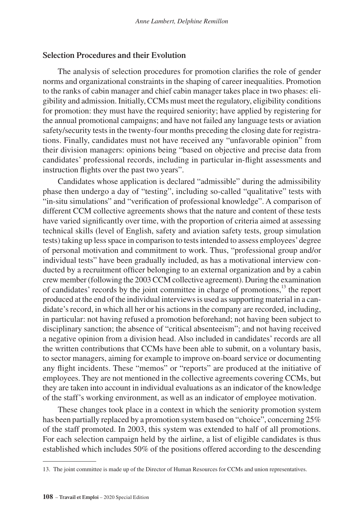#### **Selection Procedures and their Evolution**

The analysis of selection procedures for promotion clarifies the role of gender norms and organizational constraints in the shaping of career inequalities. Promotion to the ranks of cabin manager and chief cabin manager takes place in two phases: eligibility and admission. Initially, CCMs must meet the regulatory, eligibility conditions for promotion: they must have the required seniority; have applied by registering for the annual promotional campaigns; and have not failed any language tests or aviation safety/security tests in the twenty-four months preceding the closing date for registrations. Finally, candidates must not have received any "unfavorable opinion" from their division managers: opinions being "based on objective and precise data from candidates' professional records, including in particular in-flight assessments and instruction flights over the past two years".

Candidates whose application is declared "admissible" during the admissibility phase then undergo a day of "testing", including so-called "qualitative" tests with "in-situ simulations" and "verification of professional knowledge". A comparison of different CCM collective agreements shows that the nature and content of these tests have varied significantly over time, with the proportion of criteria aimed at assessing technical skills (level of English, safety and aviation safety tests, group simulation tests) taking up less space in comparison to tests intended to assess employees' degree of personal motivation and commitment to work. Thus, "professional group and/or individual tests" have been gradually included, as has a motivational interview conducted by a recruitment officer belonging to an external organization and by a cabin crew member (following the 2003 CCM collective agreement). During the examination of candidates' records by the joint committee in charge of promotions,13 the report produced at the end of the individual interviews is used as supporting material in a candidate's record, in which all her or his actions in the company are recorded, including, in particular: not having refused a promotion beforehand; not having been subject to disciplinary sanction; the absence of "critical absenteeism"; and not having received a negative opinion from a division head. Also included in candidates' records are all the written contributions that CCMs have been able to submit, on a voluntary basis, to sector managers, aiming for example to improve on-board service or documenting any flight incidents. These "memos" or "reports" are produced at the initiative of employees. They are not mentioned in the collective agreements covering CCMs, but they are taken into account in individual evaluations as an indicator of the knowledge of the staff's working environment, as well as an indicator of employee motivation.

These changes took place in a context in which the seniority promotion system has been partially replaced by a promotion system based on "choice", concerning 25% of the staff promoted. In 2003, this system was extended to half of all promotions. For each selection campaign held by the airline, a list of eligible candidates is thus established which includes 50% of the positions offered according to the descending

<sup>13.</sup> The joint committee is made up of the Director of Human Resources for CCMs and union representatives.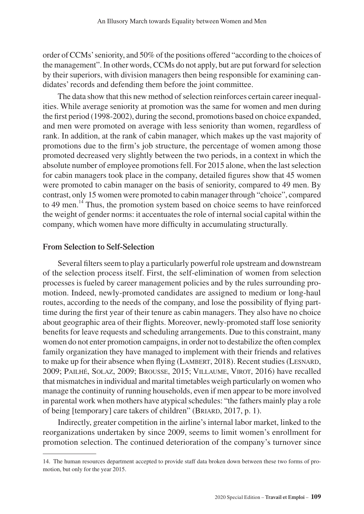order of CCMs' seniority, and 50% of the positions offered "according to the choices of the management". In other words, CCMs do not apply, but are put forward for selection by their superiors, with division managers then being responsible for examining candidates' records and defending them before the joint committee.

The data show that this new method of selection reinforces certain career inequalities. While average seniority at promotion was the same for women and men during the first period (1998-2002), during the second, promotions based on choice expanded, and men were promoted on average with less seniority than women, regardless of rank. In addition, at the rank of cabin manager, which makes up the vast majority of promotions due to the firm's job structure, the percentage of women among those promoted decreased very slightly between the two periods, in a context in which the absolute number of employee promotions fell. For 2015 alone, when the last selection for cabin managers took place in the company, detailed figures show that 45 women were promoted to cabin manager on the basis of seniority, compared to 49 men. By contrast, only 15 women were promoted to cabin manager through "choice", compared to 49 men.<sup>14</sup> Thus, the promotion system based on choice seems to have reinforced the weight of gender norms: it accentuates the role of internal social capital within the company, which women have more difficulty in accumulating structurally.

## **From Selection to Self-Selection**

Several filters seem to play a particularly powerful role upstream and downstream of the selection process itself. First, the self-elimination of women from selection processes is fueled by career management policies and by the rules surrounding promotion. Indeed, newly-promoted candidates are assigned to medium or long-haul routes, according to the needs of the company, and lose the possibility of flying parttime during the first year of their tenure as cabin managers. They also have no choice about geographic area of their flights. Moreover, newly-promoted staff lose seniority benefits for leave requests and scheduling arrangements. Due to this constraint, many women do not enter promotion campaigns, in order not to destabilize the often complex family organization they have managed to implement with their friends and relatives to make up for their absence when flying (LAMBERT, 2018). Recent studies (LESNARD, 2009; Pailhé, Solaz, 2009; Brousse, 2015; Villaume, Virot, 2016) have recalled that mismatches in individual and marital timetables weigh particularly on women who manage the continuity of running households, even if men appear to be more involved in parental work when mothers have atypical schedules: "the fathers mainly play a role of being [temporary] care takers of children" (Briard, 2017, p. 1).

Indirectly, greater competition in the airline's internal labor market, linked to the reorganizations undertaken by since 2009, seems to limit women's enrollment for promotion selection. The continued deterioration of the company's turnover since

<sup>14.</sup> The human resources department accepted to provide staff data broken down between these two forms of promotion, but only for the year 2015.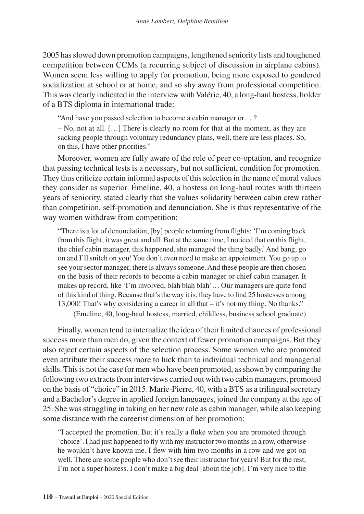2005 has slowed down promotion campaigns, lengthened seniority lists and toughened competition between CCMs (a recurring subject of discussion in airplane cabins). Women seem less willing to apply for promotion, being more exposed to gendered socialization at school or at home, and so shy away from professional competition. This was clearly indicated in the interview with Valérie, 40, a long-haul hostess, holder of a BTS diploma in international trade:

"And have you passed selection to become a cabin manager or… ?

– No, not at all. […] There is clearly no room for that at the moment, as they are sacking people through voluntary redundancy plans, well, there are less places. So, on this, I have other priorities."

Moreover, women are fully aware of the role of peer co-optation, and recognize that passing technical tests is a necessary, but not sufficient, condition for promotion. They thus criticize certain informal aspects of this selection in the name of moral values they consider as superior. Émeline, 40, a hostess on long-haul routes with thirteen years of seniority, stated clearly that she values solidarity between cabin crew rather than competition, self-promotion and denunciation. She is thus representative of the way women withdraw from competition:

"There is a lot of denunciation, [by] people returning from flights: 'I'm coming back from this flight, it was great and all. But at the same time, I noticed that on this flight, the chief cabin manager, this happened, she managed the thing badly.' And bang, go on and I'll snitch on you! You don't even need to make an appointment. You go up to see your sector manager, there is always someone. And these people are then chosen on the basis of their records to become a cabin manager or chief cabin manager. It makes up record, like 'I'm involved, blah blah blah'… Our managers are quite fond of this kind of thing. Because that's the way it is: they have to find 25 hostesses among 13,000! That's why considering a career in all that – it's not my thing. No thanks."

(Emeline, 40, long-haul hostess, married, childless, business school graduate)

Finally, women tend to internalize the idea of their limited chances of professional success more than men do, given the context of fewer promotion campaigns. But they also reject certain aspects of the selection process. Some women who are promoted even attribute their success more to luck than to individual technical and managerial skills. This is not the case for men who have been promoted, as shown by comparing the following two extracts from interviews carried out with two cabin managers, promoted on the basis of "choice" in 2015. Marie-Pierre, 40, with a BTS as a trilingual secretary and a Bachelor's degree in applied foreign languages, joined the company at the age of 25. She was struggling in taking on her new role as cabin manager, while also keeping some distance with the careerist dimension of her promotion:

"I accepted the promotion. But it's really a fluke when you are promoted through 'choice'. I had just happened to fly with my instructor two months in a row, otherwise he wouldn't have known me. I flew with him two months in a row and we got on well. There are some people who don't see their instructor for years! But for the rest, I'm not a super hostess. I don't make a big deal [about the job]. I'm very nice to the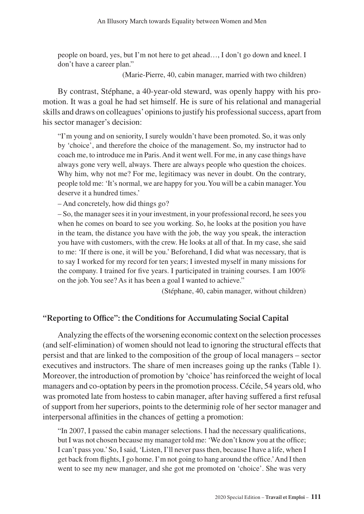people on board, yes, but I'm not here to get ahead…, I don't go down and kneel. I don't have a career plan."

(Marie-Pierre, 40, cabin manager, married with two children)

By contrast, Stéphane, a 40-year-old steward, was openly happy with his promotion. It was a goal he had set himself. He is sure of his relational and managerial skills and draws on colleagues' opinions to justify his professional success, apart from his sector manager's decision:

"I'm young and on seniority, I surely wouldn't have been promoted. So, it was only by 'choice', and therefore the choice of the management. So, my instructor had to coach me, to introduce me in Paris. And it went well. For me, in any case things have always gone very well, always. There are always people who question the choices. Why him, why not me? For me, legitimacy was never in doubt. On the contrary, people told me: 'It's normal, we are happy for you. You will be a cabin manager. You deserve it a hundred times.'

– And concretely, how did things go?

– So, the manager sees it in your investment, in your professional record, he sees you when he comes on board to see you working. So, he looks at the position you have in the team, the distance you have with the job, the way you speak, the interaction you have with customers, with the crew. He looks at all of that. In my case, she said to me: 'If there is one, it will be you.' Beforehand, I did what was necessary, that is to say I worked for my record for ten years; I invested myself in many missions for the company. I trained for five years. I participated in training courses. I am 100% on the job. You see? As it has been a goal I wanted to achieve."

(Stéphane, 40, cabin manager, without children)

## **"Reporting to Office": the Conditions for Accumulating Social Capital**

Analyzing the effects of the worsening economic context on the selection processes (and self-elimination) of women should not lead to ignoring the structural effects that persist and that are linked to the composition of the group of local managers – sector executives and instructors. The share of men increases going up the ranks (Table 1). Moreover, the introduction of promotion by 'choice' has reinforced the weight of local managers and co-optation by peers in the promotion process. Cécile, 54 years old, who was promoted late from hostess to cabin manager, after having suffered a first refusal of support from her superiors, points to the determinig role of her sector manager and interpersonal affinities in the chances of getting a promotion:

"In 2007, I passed the cabin manager selections. I had the necessary qualifications, but I was not chosen because my manager told me: 'We don't know you at the office; I can't pass you.' So, I said, 'Listen, I'll never pass then, because I have a life, when I get back from flights, I go home. I'm not going to hang around the office.' And I then went to see my new manager, and she got me promoted on 'choice'. She was very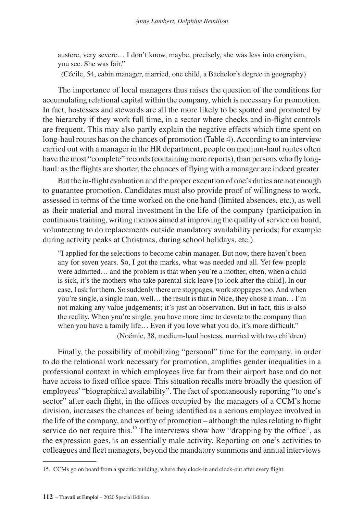austere, very severe… I don't know, maybe, precisely, she was less into cronyism, you see. She was fair."

(Cécile, 54, cabin manager, married, one child, a Bachelor's degree in geography)

The importance of local managers thus raises the question of the conditions for accumulating relational capital within the company, which is necessary for promotion. In fact, hostesses and stewards are all the more likely to be spotted and promoted by the hierarchy if they work full time, in a sector where checks and in-flight controls are frequent. This may also partly explain the negative effects which time spent on long-haul routes has on the chances of promotion (Table 4). According to an interview carried out with a manager in the HR department, people on medium-haul routes often have the most "complete" records (containing more reports), than persons who fly longhaul: as the flights are shorter, the chances of flying with a manager are indeed greater.

But the in-flight evaluation and the proper execution of one's duties are not enough to guarantee promotion. Candidates must also provide proof of willingness to work, assessed in terms of the time worked on the one hand (limited absences, etc.), as well as their material and moral investment in the life of the company (participation in continuous training, writing memos aimed at improving the quality of service on board, volunteering to do replacements outside mandatory availability periods; for example during activity peaks at Christmas, during school holidays, etc.).

"I applied for the selections to become cabin manager. But now, there haven't been any for seven years. So, I got the marks, what was needed and all. Yet few people were admitted… and the problem is that when you're a mother, often, when a child is sick, it's the mothers who take parental sick leave [to look after the child]. In our case, I ask for them. So suddenly there are stoppages, work stoppages too. And when you're single, a single man, well… the result is that in Nice, they chose a man… I'm not making any value judgements; it's just an observation. But in fact, this is also the reality. When you're single, you have more time to devote to the company than when you have a family life... Even if you love what you do, it's more difficult."

(Noémie, 38, medium-haul hostess, married with two children)

Finally, the possibility of mobilizing "personal" time for the company, in order to do the relational work necessary for promotion, amplifies gender inequalities in a professional context in which employees live far from their airport base and do not have access to fixed office space. This situation recalls more broadly the question of employees' "biographical availability". The fact of spontaneously reporting "to one's sector" after each flight, in the offices occupied by the managers of a CCM's home division, increases the chances of being identified as a serious employee involved in the life of the company, and worthy of promotion – although the rules relating to flight service do not require this.<sup>15</sup> The interviews show how "dropping by the office", as the expression goes, is an essentially male activity. Reporting on one's activities to colleagues and fleet managers, beyond the mandatory summons and annual interviews

<sup>15.</sup> CCMs go on board from a specific building, where they clock-in and clock-out after every flight.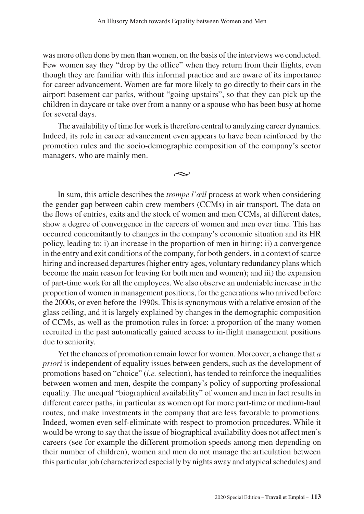was more often done by men than women, on the basis of the interviews we conducted. Few women say they "drop by the office" when they return from their flights, even though they are familiar with this informal practice and are aware of its importance for career advancement. Women are far more likely to go directly to their cars in the airport basement car parks, without "going upstairs", so that they can pick up the children in daycare or take over from a nanny or a spouse who has been busy at home for several days.

The availability of time for work is therefore central to analyzing career dynamics. Indeed, its role in career advancement even appears to have been reinforced by the promotion rules and the socio-demographic composition of the company's sector managers, who are mainly men.

بحہ

In sum, this article describes the *trompe l'œil* process at work when considering the gender gap between cabin crew members (CCMs) in air transport. The data on the flows of entries, exits and the stock of women and men CCMs, at different dates, show a degree of convergence in the careers of women and men over time. This has occurred concomitantly to changes in the company's economic situation and its HR policy, leading to: i) an increase in the proportion of men in hiring; ii) a convergence in the entry and exit conditions of the company, for both genders, in a context of scarce hiring and increased departures (higher entry ages, voluntary redundancy plans which become the main reason for leaving for both men and women); and iii) the expansion of part-time work for all the employees. We also observe an undeniable increase in the proportion of women in management positions, for the generations who arrived before the 2000s, or even before the 1990s. This is synonymous with a relative erosion of the glass ceiling, and it is largely explained by changes in the demographic composition of CCMs, as well as the promotion rules in force: a proportion of the many women recruited in the past automatically gained access to in-flight management positions due to seniority.

Yet the chances of promotion remain lower for women. Moreover, a change that *a priori* is independent of equality issues between genders, such as the development of promotions based on "choice" (*i.e.* selection), has tended to reinforce the inequalities between women and men, despite the company's policy of supporting professional equality. The unequal "biographical availability" of women and men in fact results in different career paths, in particular as women opt for more part-time or medium-haul routes, and make investments in the company that are less favorable to promotions. Indeed, women even self-eliminate with respect to promotion procedures. While it would be wrong to say that the issue of biographical availability does not affect men's careers (see for example the different promotion speeds among men depending on their number of children), women and men do not manage the articulation between this particular job (characterized especially by nights away and atypical schedules) and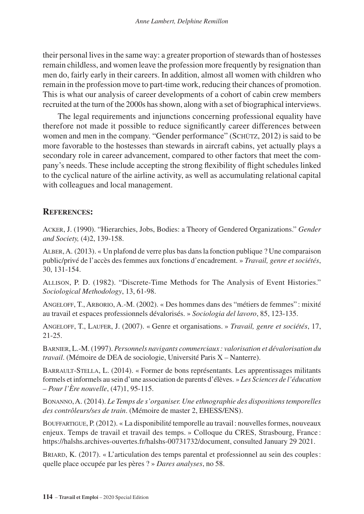their personal lives in the same way: a greater proportion of stewards than of hostesses remain childless, and women leave the profession more frequently by resignation than men do, fairly early in their careers. In addition, almost all women with children who remain in the profession move to part-time work, reducing their chances of promotion. This is what our analysis of career developments of a cohort of cabin crew members recruited at the turn of the 2000s has shown, along with a set of biographical interviews.

The legal requirements and injunctions concerning professional equality have therefore not made it possible to reduce significantly career differences between women and men in the company. "Gender performance" (SCHÜTZ, 2012) is said to be more favorable to the hostesses than stewards in aircraft cabins, yet actually plays a secondary role in career advancement, compared to other factors that meet the company's needs. These include accepting the strong flexibility of flight schedules linked to the cyclical nature of the airline activity, as well as accumulating relational capital with colleagues and local management.

## **References:**

Acker, J. (1990). "Hierarchies, Jobs, Bodies: a Theory of Gendered Organizations." *Gender and Society,* (4)2, 139-158.

Alber, A. (2013). « Un plafond de verre plus bas dans la fonction publique ? Une comparaison public/privé de l'accès des femmes aux fonctions d'encadrement. » *Travail, genre et sociétés*, 30, 131-154.

Allison, P. D. (1982). "Discrete-Time Methods for The Analysis of Event Histories." *Sociological Methodology*, 13, 61-98.

Angeloff, T., Arborio, A.-M. (2002). « Des hommes dans des "métiers de femmes" : mixité au travail et espaces professionnels dévalorisés. » *Sociologia del lavoro*, 85, 123-135.

Angeloff, T., Laufer, J. (2007). « Genre et organisations. » *Travail, genre et sociétés*, 17, 21-25.

Barnier, L.-M. (1997). *Personnels navigants commerciaux : valorisation et dévalorisation du travail*. (Mémoire de DEA de sociologie, Université Paris X – Nanterre).

Barrault-Stella, L. (2014). « Former de bons représentants. Les apprentissages militants formels et informels au sein d'une association de parents d'élèves. » *Les Sciences de l'éducation – Pour l'Ère nouvelle*, (47)1, 95-115.

Bonanno, A. (2014). *Le Temps de s'organiser. Une ethnographie des dispositions temporelles des contrôleurs/ses de train*. (Mémoire de master 2, EHESS/ENS).

Bouffartigue, P. (2012). « La disponibilité temporelle au travail: nouvelles formes, nouveaux enjeux. Temps de travail et travail des temps. » Colloque du CRES, Strasbourg, France : <https://halshs.archives-ouvertes.fr/halshs-00731732/document>, consulted January 29 2021.

Briard, K. (2017). « L'articulation des temps parental et professionnel au sein des couples: quelle place occupée par les pères ? » *Dares analyses*, no 58.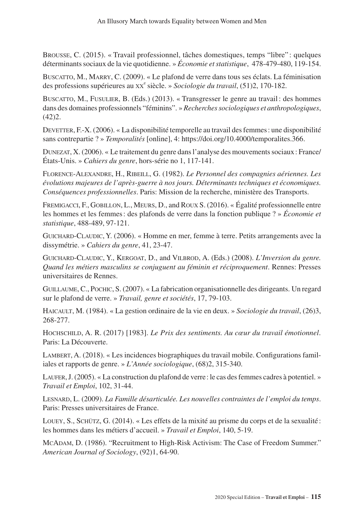Brousse, C. (2015). « Travail professionnel, tâches domestiques, temps "libre" : quelques déterminants sociaux de la vie quotidienne. » *Économie et statistique*, 478-479-480, 119-154.

Buscatto, M., Marry, C. (2009). « Le plafond de verre dans tous ses éclats. La féminisation des professions supérieures au xx<sup>e</sup> siècle. » Sociologie du travail, (51)2, 170-182.

Buscatto, M., Fusulier, B. (Eds.) (2013). « Transgresser le genre au travail: des hommes dans des domaines professionnels "féminins". » *Recherches sociologiques et anthropologiques*,  $(42)2.$ 

DEVETTER, F.-X. (2006). « La disponibilité temporelle au travail des femmes : une disponibilité sans contrepartie ? » *Temporalités* [online], 4: [https://doi.org/10.4000/temporalites.366.](https://doi.org/10.4000/temporalites.366)

Dunezat, X. (2006). « Le traitement du genre dans l'analyse des mouvements sociaux: France/ États-Unis. » *Cahiers du genre*, hors-série no 1, 117-141.

Florence-Alexandre, H., Ribeill, G. (1982). *Le Personnel des compagnies aériennes. Les évolutions majeures de l'après-guerre à nos jours. Déterminants techniques et économiques. Conséquences professionnelles*. Paris: Mission de la recherche, ministère des Transports.

Fremigacci, F., Gobillon, L., Meurs, D., and Roux S. (2016). « Égalité professionnelle entre les hommes et les femmes: des plafonds de verre dans la fonction publique ? » *Économie et statistique*, 488-489, 97-121.

Guichard-Claudic, Y. (2006). « Homme en mer, femme à terre. Petits arrangements avec la dissymétrie. » *Cahiers du genre*, 41, 23-47.

Guichard-Claudic, Y., Kergoat, D., and Vilbrod, A. (Eds.) (2008). *L'Inversion du genre. Quand les métiers masculins se conjuguent au féminin et réciproquement*. Rennes: Presses universitaires de Rennes.

Guillaume, C., Pochic, S. (2007). « La fabrication organisationnelle des dirigeants. Un regard sur le plafond de verre. » *Travail, genre et sociétés*, 17, 79-103.

Haicault, M. (1984). « La gestion ordinaire de la vie en deux. » *Sociologie du travail*, (26)3, 268-277.

Hochschild, A. R. (2017) [1983]. *Le Prix des sentiments. Au cœur du travail émotionnel*. Paris: La Découverte.

Lambert, A. (2018). « Les incidences biographiques du travail mobile. Configurations familiales et rapports de genre. » *L'Année sociologique*, (68)2, 315-340.

Laufer, J. (2005). « La construction du plafond de verre: le cas des femmes cadres à potentiel. » *Travail et Emploi*, 102, 31-44.

Lesnard, L. (2009). *La Famille désarticulée. Les nouvelles contraintes de l'emploi du temps*. Paris: Presses universitaires de France.

Louey, S., Schütz, G. (2014). « Les effets de la mixité au prisme du corps et de la sexualité : les hommes dans les métiers d'accueil. » *Travail et Emploi*, 140, 5-19.

McAdam, D. (1986). "Recruitment to High-Risk Activism: The Case of Freedom Summer." *American Journal of Sociology*, (92)1, 64-90.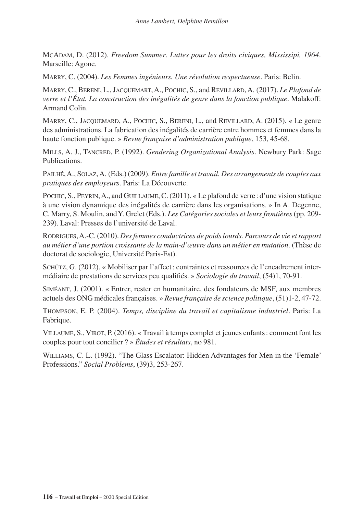McAdam, D. (2012). *Freedom Summer*. *Luttes pour les droits civiques, Mississipi, 1964*. Marseille: Agone.

Marry, C. (2004). *Les Femmes ingénieurs. Une révolution respectueuse*. Paris: Belin.

Marry, C., Bereni, L., Jacquemart, A., Pochic, S., and Revillard, A. (2017). *Le Plafond de verre et l'État. La construction des inégalités de genre dans la fonction publique*. Malakoff: Armand Colin.

Marry, C., Jacquemard, A., Pochic, S., Bereni, L., and Revillard, A. (2015). « Le genre des administrations. La fabrication des inégalités de carrière entre hommes et femmes dans la haute fonction publique. » *Revue française d'administration publique*, 153, 45-68.

Mills, A. J., Tancred, P. (1992). *Gendering Organizational Analysis*. Newbury Park: Sage Publications.

Pailhé, A., Solaz, A. (Eds.) (2009). *Entre famille et travail. Des arrangements de couples aux pratiques des employeurs*. Paris: La Découverte.

Pochic, S., Peyrin, A., and Guillaume, C. (2011). « Le plafond de verre : d'une vision statique à une vision dynamique des inégalités de carrière dans les organisations. » In A. Degenne, C. Marry, S. Moulin, and Y. Grelet (Eds.). *Les Catégories sociales et leurs frontières* (pp. 209- 239). Laval: Presses de l'université de Laval.

Rodrigues, A.-C. (2010). *Des femmes conductrices de poids lourds. Parcours de vie et rapport au métier d'une portion croissante de la main-d'œuvre dans un métier en mutation*. (Thèse de doctorat de sociologie, Université Paris-Est).

Schütz, G. (2012). « Mobiliser par l'affect: contraintes et ressources de l'encadrement intermédiaire de prestations de services peu qualifiés. » *Sociologie du travail*, (54)1, 70-91.

Siméant, J. (2001). « Entrer, rester en humanitaire, des fondateurs de MSF, aux membres actuels des ONG médicales françaises. » *Revue française de science politique*, (51)1-2, 47-72.

Thompson, E. P. (2004). *Temps, discipline du travail et capitalisme industriel*. Paris: La Fabrique.

Villaume, S., Virot, P. (2016). « Travail à temps complet et jeunes enfants: comment font les couples pour tout concilier ? » *Études et résultats*, no 981.

Williams, C. L. (1992). "The Glass Escalator: Hidden Advantages for Men in the 'Female' Professions." *Social Problems*, (39)3, 253-267.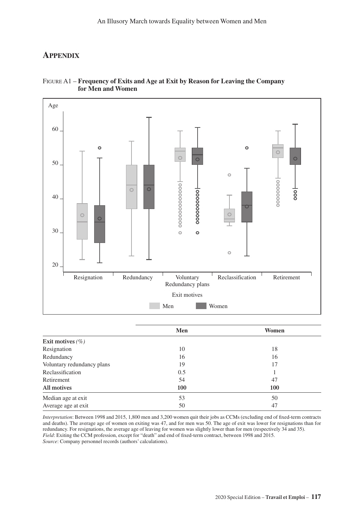### **Appendix**



#### Figure A1 – **Frequency of Exits and Age at Exit by Reason for Leaving the Company for Men and Women**

|                            | Men | Women |
|----------------------------|-----|-------|
| Exit motives $(\% )$       |     |       |
| Resignation                | 10  | 18    |
| Redundancy                 | 16  | 16    |
| Voluntary redundancy plans | 19  | 17    |
| Reclassification           | 0.5 |       |
| Retirement                 | 54  | 47    |
| All motives                | 100 | 100   |
| Median age at exit         | 53  | 50    |
| Average age at exit        | 50  | 47    |
|                            |     |       |

*Interpretation*: Between 1998 and 2015, 1,800 men and 3,200 women quit their jobs as CCMs (excluding end of fixed-term contracts and deaths). The average age of women on exiting was 47, and for men was 50. The age of exit was lower for resignations than for redundancy. For resignations, the average age of leaving for women was slightly lower than for men (respectively 34 and 35). *Field*: Exiting the CCM profession, except for "death" and end of fixed-term contract, between 1998 and 2015. *Source*: Company personnel records (authors' calculations).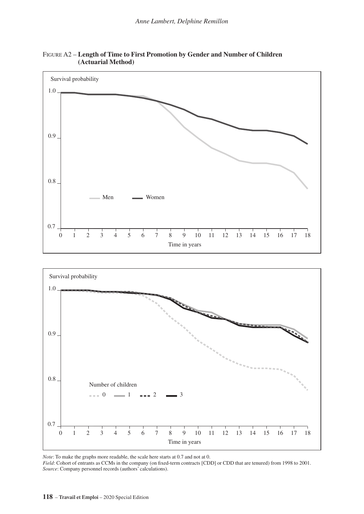

Figure A2 – **Length of Time to First Promotion by Gender and Number of Children (Actuarial Method)**



*Note*: To make the graphs more readable, the scale here starts at 0.7 and not at 0.

*Field*: Cohort of entrants as CCMs in the company (on fixed-term contracts [CDD] or CDD that are tenured) from 1998 to 2001. *Source*: Company personnel records (authors' calculations).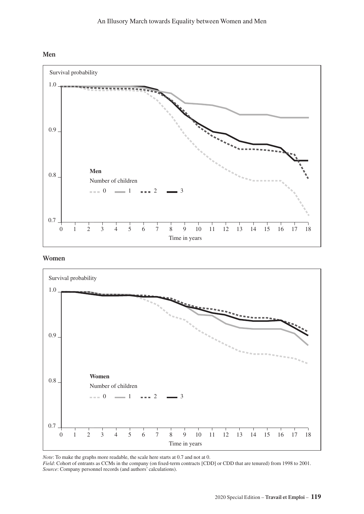



**Women**



*Note*: To make the graphs more readable, the scale here starts at 0.7 and not at 0.

*Field*: Cohort of entrants as CCMs in the company (on fixed-term contracts [CDD] or CDD that are tenured) from 1998 to 2001. *Source*: Company personnel records (and authors' calculations).